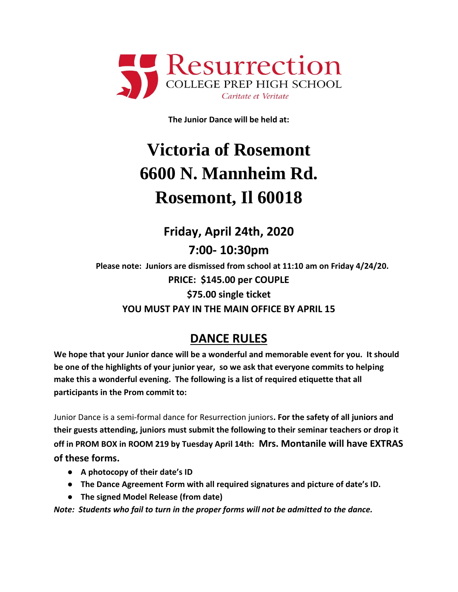

**The Junior Dance will be held at:**

## **Victoria of Rosemont 6600 N. Mannheim Rd. Rosemont, Il 60018**

## **Friday, April 24th, 2020**

**7:00- 10:30pm**

**Please note: Juniors are dismissed from school at 11:10 am on Friday 4/24/20. PRICE: \$145.00 per COUPLE \$75.00 single ticket YOU MUST PAY IN THE MAIN OFFICE BY APRIL 15**

## **DANCE RULES**

**We hope that your Junior dance will be a wonderful and memorable event for you. It should be one of the highlights of your junior year, so we ask that everyone commits to helping make this a wonderful evening. The following is a list of required etiquette that all participants in the Prom commit to:**

Junior Dance is a semi-formal dance for Resurrection juniors**. For the safety of all juniors and their guests attending, juniors must submit the following to their seminar teachers or drop it off in PROM BOX in ROOM 219 by Tuesday April 14th: Mrs. Montanile will have EXTRAS of these forms.** 

- **A photocopy of their date's ID**
- **The Dance Agreement Form with all required signatures and picture of date's ID.**
- **The signed Model Release (from date)**

*Note: Students who fail to turn in the proper forms will not be admitted to the dance.*